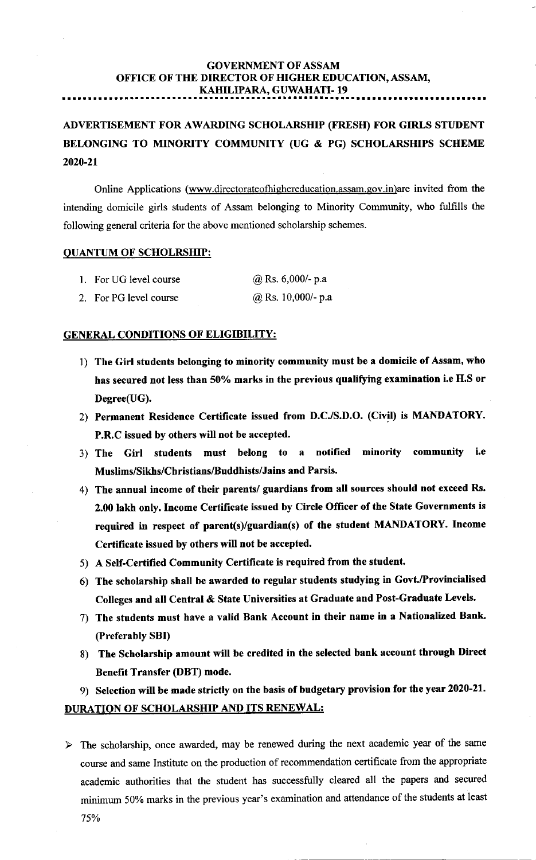# GOVERNMENT OF ASSAM OFFICE OF THE DIRECTOR OF HIGHER EDUCATION, ASSAM, KAHILIPARA, GUWAHATI- 19

ADVERTISEMENT FOR AWARDING SCHOLARSHIP (FRESII) FOR GIRLS STUDENT BELONGING TO MINORITY COMMUNITY (UG & PG) SCHOLARSHIPS SCHEME 2020-21

Online Applications (www.directorateofhighereducation.assam.gov.in)are invited from the intending domicile girls students of Assam belonging to Minority Community, who fulfills the following general criteria for the above mentioned scholarship schemes.

#### QUANTUM OF SCHOLRSHIP:

| 1. For UG level course | @ Rs. $6,000$ - p.a  |
|------------------------|----------------------|
| 2. For PG level course | $@$ Rs. 10,000/- p.a |

#### GENERAL CONDITIONS OF ELIGIBILITY:

- 1) The Girl students belonging to minority community must be a domicile of Assam, who has secured not less than 50% marks in the previous qualifying examination i.e H.S or Degree(UG).
- 2) Permanent Residence Certificate issued from D.C./S.D.O. (Civil) is MANDATORY. P.R.C issued by others will not be accepted.
- 3) The Girl students must belong to a notifred minority community i.e Muslims/Sikhs/Christians/Buddhists/Jains and Parsis.
- 4) The annual income of their parents/ guardians from all sources should not exceed Rs. 2.00 lakh only. Income Certificate issued by Circle Officer of the State Governments is required in respect of parent(s)/guardian(s) of the student MANDATORY. Income Certificate issued by others will not be accepted.
- 5) A Self-Certified Community Certificate is required from the student.
- 6) The scholarship shall be awarded to regular students studying in Govt./Provincialised Colleges and all Central & State Universities at Graduate and Post-Graduate Levels.
- 7) The students must have a valid Bank Account in their name in a Nationalized Bank (Preferably SBI)
- 8) The Scholarship amount will be credited in the selected bank account through Direct Benefit Transfer (DBT) mode.
- 9) Selection will be made strictty on the basis of budgetary provision for the year 2020-21.

## DURATION OF SCHOLARSHIP AND ITS RENEWAL:

 $\triangleright$  The scholarship, once awarded, may be renewed during the next academic year of the same course and sarne Institute on the production of recommendation certificate from the appropriate academic authorities that the student has successfully cleared all the papers and secured minimum 50% marks in the previous year's examination and attendance of the students at least 75%